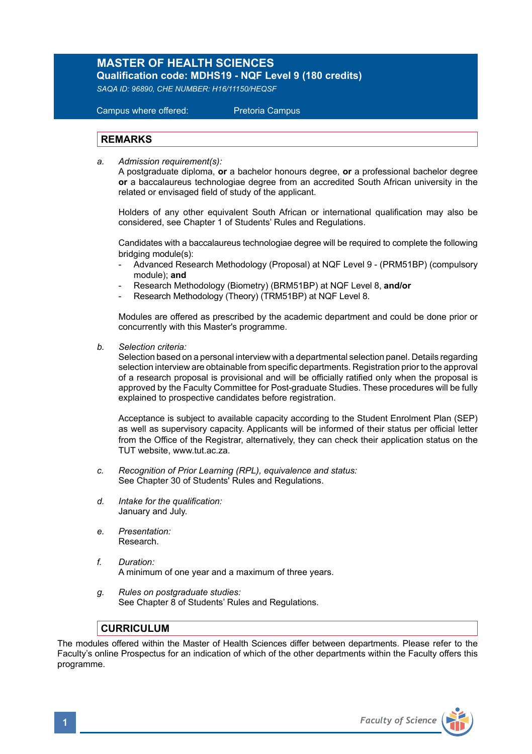## **MASTER OF HEALTH SCIENCES**

**Qualification code: MDHS19 - NQF Level 9 (180 credits)**  *SAQA ID: 96890, CHE NUMBER: H16/11150/HEQSF* 

 Campus where offered: Pretoria Campus

## **REMARKS**

*a. Admission requirement(s):* 

A postgraduate diploma, **or** a bachelor honours degree, **or** a professional bachelor degree **or** a baccalaureus technologiae degree from an accredited South African university in the related or envisaged field of study of the applicant.

 Holders of any other equivalent South African or international qualification may also be considered, see Chapter 1 of Students' Rules and Regulations.

 Candidates with a baccalaureus technologiae degree will be required to complete the following bridging module(s):

- Advanced Research Methodology (Proposal) at NQF Level 9 (PRM51BP) (compulsory module); **and**
- Research Methodology (Biometry) (BRM51BP) at NQF Level 8, **and/or**
- Research Methodology (Theory) (TRM51BP) at NQF Level 8.

Modules are offered as prescribed by the academic department and could be done prior or concurrently with this Master's programme.

*b. Selection criteria:*

Selection based on a personal interview with a departmental selection panel. Details regarding selection interview are obtainable from specific departments. Registration prior to the approval of a research proposal is provisional and will be officially ratified only when the proposal is approved by the Faculty Committee for Post-graduate Studies. These procedures will be fully explained to prospective candidates before registration.

Acceptance is subject to available capacity according to the Student Enrolment Plan (SEP) as well as supervisory capacity. Applicants will be informed of their status per official letter from the Office of the Registrar, alternatively, they can check their application status on the TUT website, www.tut.ac.za.

- *c. Recognition of Prior Learning (RPL), equivalence and status:* See Chapter 30 of Students' Rules and Regulations.
- *d. Intake for the qualification:* January and July.
- *e. Presentation:* Research.
- *f. Duration:*  A minimum of one year and a maximum of three years.
- *g. Rules on postgraduate studies:* See Chapter 8 of Students' Rules and Regulations.

## **CURRICULUM**

The modules offered within the Master of Health Sciences differ between departments. Please refer to the Faculty's online Prospectus for an indication of which of the other departments within the Faculty offers this programme.